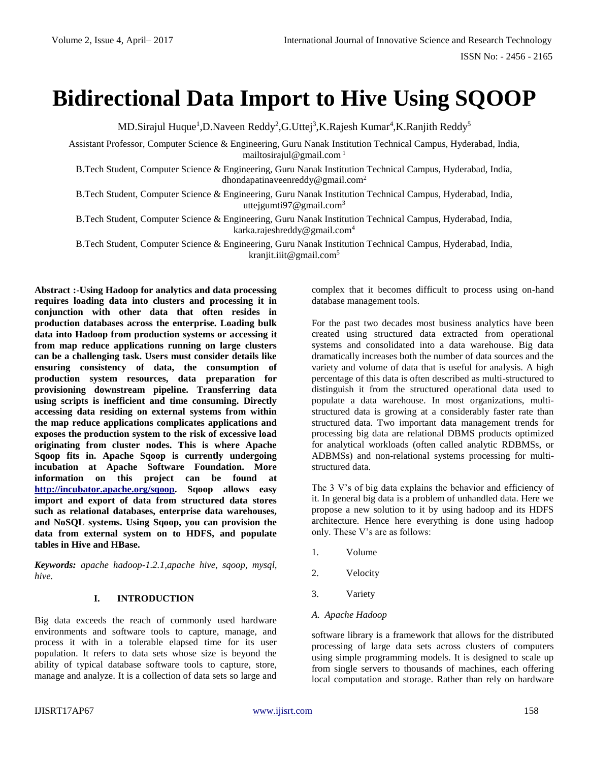# **Bidirectional Data Import to Hive Using SQOOP**

MD.Sirajul Huque<sup>1</sup>,D.Naveen Reddy<sup>2</sup>,G.Uttej<sup>3</sup>,K.Rajesh Kumar<sup>4</sup>,K.Ranjith Reddy<sup>5</sup>

Assistant Professor, Computer Science & Engineering, Guru Nanak Institution Technical Campus, Hyderabad, India, mailtosirajul@gmail.com<sup>1</sup>

B.Tech Student, Computer Science & Engineering, Guru Nanak Institution Technical Campus, Hyderabad, India, dhondapatinaveenreddy@gmail.com<sup>2</sup>

B.Tech Student, Computer Science & Engineering, Guru Nanak Institution Technical Campus, Hyderabad, India, uttejgumti $97@$ gmail.com<sup>3</sup>

B.Tech Student, Computer Science & Engineering, Guru Nanak Institution Technical Campus, Hyderabad, India, karka.rajeshreddy@gmail.com<sup>4</sup>

B.Tech Student, Computer Science & Engineering, Guru Nanak Institution Technical Campus, Hyderabad, India, kranjit.iiit@gmail.com<sup>5</sup>

**Abstract :-Using Hadoop for analytics and data processing requires loading data into clusters and processing it in conjunction with other data that often resides in production databases across the enterprise. Loading bulk data into Hadoop from production systems or accessing it from map reduce applications running on large clusters can be a challenging task. Users must consider details like ensuring consistency of data, the consumption of production system resources, data preparation for provisioning downstream pipeline. Transferring data using scripts is inefficient and time consuming. Directly accessing data residing on external systems from within the map reduce applications complicates applications and exposes the production system to the risk of excessive load originating from cluster nodes. This is where Apache Sqoop fits in. Apache Sqoop is currently undergoing incubation at Apache Software Foundation. More information on this project can be found at [http://incubator.apache.org/sqoop.](http://incubator.apache.org/sqoop) Sqoop allows easy import and export of data from structured data stores such as relational databases, enterprise data warehouses, and NoSQL systems. Using Sqoop, you can provision the data from external system on to HDFS, and populate tables in Hive and HBase.**

*Keywords: apache hadoop-1.2.1,apache hive, sqoop, mysql, hive.*

# **I. INTRODUCTION**

Big data exceeds the reach of commonly used hardware environments and software tools to capture, manage, and process it with in a tolerable elapsed time for its user population. It refers to data sets whose size is beyond the ability of typical database software tools to capture, store, manage and analyze. It is a collection of data sets so large and complex that it becomes difficult to process using on-hand database management tools.

For the past two decades most business analytics have been created using structured data extracted from operational systems and consolidated into a data warehouse. Big data dramatically increases both the number of data sources and the variety and volume of data that is useful for analysis. A high percentage of this data is often described as multi-structured to distinguish it from the structured operational data used to populate a data warehouse. In most organizations, multistructured data is growing at a considerably faster rate than structured data. Two important data management trends for processing big data are relational DBMS products optimized for analytical workloads (often called analytic RDBMSs, or ADBMSs) and non-relational systems processing for multistructured data.

The 3 V's of big data explains the behavior and efficiency of it. In general big data is a problem of unhandled data. Here we propose a new solution to it by using hadoop and its HDFS architecture. Hence here everything is done using hadoop only. These V's are as follows:

- 1. Volume
- 2. Velocity
- 3. Variety
- *A. Apache Hadoop*

software library is a framework that allows for the distributed processing of large data sets across clusters of computers using simple programming models. It is designed to scale up from single servers to thousands of machines, each offering local computation and storage. Rather than rely on hardware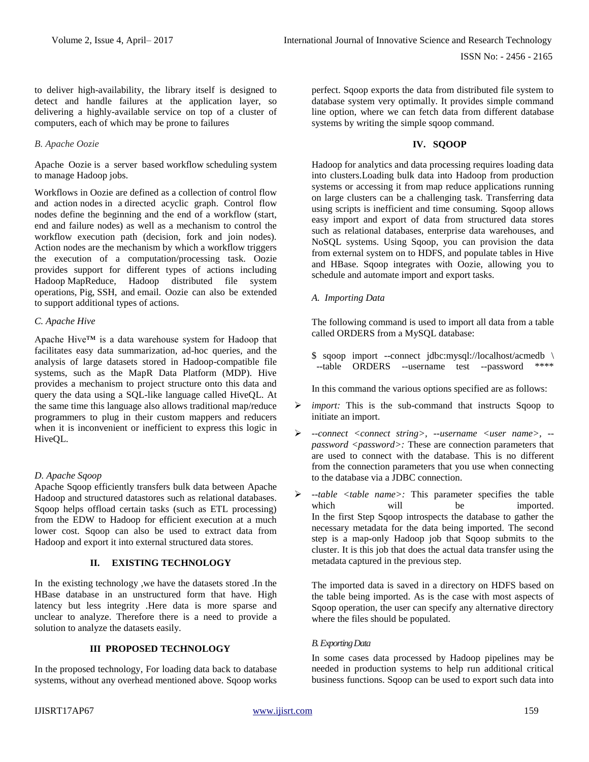to deliver high-availability, the library itself is designed to detect and handle failures at the application layer, so delivering a highly-available service on top of a cluster of computers, each of which may be prone to failures

#### *B. Apache Oozie*

Apache Oozie is a server based workflow scheduling system to manage Hadoop jobs.

Workflows in Oozie are defined as a collection of control flow and action nodes in a directed acyclic graph. Control flow nodes define the beginning and the end of a workflow (start, end and failure nodes) as well as a mechanism to control the workflow execution path (decision, fork and join nodes). Action nodes are the mechanism by which a workflow triggers the execution of a computation/processing task. Oozie provides support for different types of actions including Hadoop MapReduce, Hadoop distributed file system operations, Pig, SSH, and email. Oozie can also be extended to support additional types of actions.

#### *C. Apache Hive*

Apache Hive™ is a data warehouse system for Hadoop that facilitates easy data summarization, ad-hoc queries, and the analysis of large datasets stored in Hadoop-compatible file systems, such as the MapR Data Platform (MDP). Hive provides a mechanism to project structure onto this data and query the data using a SQL-like language called HiveQL. At the same time this language also allows traditional map/reduce programmers to plug in their custom mappers and reducers when it is inconvenient or inefficient to express this logic in HiveQL.

# *D. Apache Sqoop*

Apache Sqoop efficiently transfers bulk data between Apache Hadoop and structured datastores such as relational databases. Sqoop helps offload certain tasks (such as ETL processing) from the EDW to Hadoop for efficient execution at a much lower cost. Sqoop can also be used to extract data from Hadoop and export it into external structured data stores.

# **II. EXISTING TECHNOLOGY**

In the existing technology ,we have the datasets stored .In the HBase database in an unstructured form that have. High latency but less integrity .Here data is more sparse and unclear to analyze. Therefore there is a need to provide a solution to analyze the datasets easily.

# **III PROPOSED TECHNOLOGY**

In the proposed technology, For loading data back to database systems, without any overhead mentioned above. Sqoop works perfect. Sqoop exports the data from distributed file system to database system very optimally. It provides simple command line option, where we can fetch data from different database systems by writing the simple sqoop command.

# **IV. SQOOP**

Hadoop for analytics and data processing requires loading data into clusters.Loading bulk data into Hadoop from production systems or accessing it from map reduce applications running on large clusters can be a challenging task. Transferring data using scripts is inefficient and time consuming. Sqoop allows easy import and export of data from structured data stores such as relational databases, enterprise data warehouses, and NoSQL systems. Using Sqoop, you can provision the data from external system on to HDFS, and populate tables in Hive and HBase. Sqoop integrates with Oozie, allowing you to schedule and automate import and export tasks.

*A. Importing Data*

The following command is used to import all data from a table called ORDERS from a MySQL database:

\$ sqoop import --connect jdbc:mysql://localhost/acmedb \ --table ORDERS --username test --password \*\*\*\*

In this command the various options specified are as follows:

- *import:* This is the sub-command that instructs Sqoop to initiate an import.
- *--connect <connect string>, --username <user name>, - password <password>:* These are connection parameters that are used to connect with the database. This is no different from the connection parameters that you use when connecting to the database via a JDBC connection.
- *--table <table name>:* This parameter specifies the table which will be imported. In the first Step Sqoop introspects the database to gather the necessary metadata for the data being imported. The second step is a map-only Hadoop job that Sqoop submits to the cluster. It is this job that does the actual data transfer using the metadata captured in the previous step.

The imported data is saved in a directory on HDFS based on the table being imported. As is the case with most aspects of Sqoop operation, the user can specify any alternative directory where the files should be populated.

# *B.Exporting Data*

In some cases data processed by Hadoop pipelines may be needed in production systems to help run additional critical business functions. Sqoop can be used to export such data into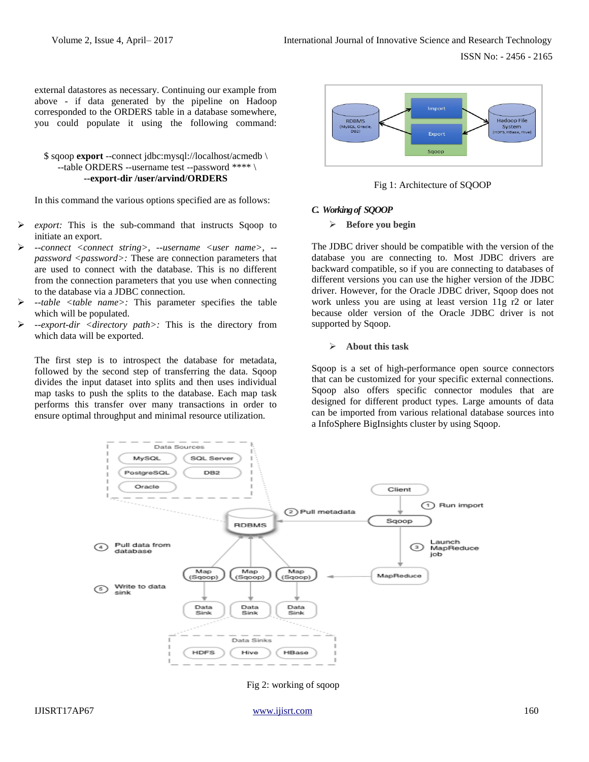external datastores as necessary. Continuing our example from above - if data generated by the pipeline on Hadoop corresponded to the ORDERS table in a database somewhere, you could populate it using the following command:

# \$ sqoop **export** --connect jdbc:mysql://localhost/acmedb \ --table ORDERS --username test --password \*\*\*\* \ **--export-dir /user/arvind/ORDERS**

In this command the various options specified are as follows:

- *export:* This is the sub-command that instructs Sqoop to initiate an export.
- *--connect <connect string>, --username <user name>, - password <password>:* These are connection parameters that are used to connect with the database. This is no different from the connection parameters that you use when connecting to the database via a JDBC connection.
- *--table <table name>:* This parameter specifies the table which will be populated.
- *--export-dir <directory path>:* This is the directory from which data will be exported.

The first step is to introspect the database for metadata, followed by the second step of transferring the data. Sqoop divides the input dataset into splits and then uses individual map tasks to push the splits to the database. Each map task performs this transfer over many transactions in order to ensure optimal throughput and minimal resource utilization.



Fig 1: Architecture of SQOOP

#### *C. Working of SQOOP*

#### **Before you begin**

The JDBC driver should be compatible with the version of the database you are connecting to. Most JDBC drivers are backward compatible, so if you are connecting to databases of different versions you can use the higher version of the JDBC driver. However, for the Oracle JDBC driver, Sqoop does not work unless you are using at least version 11g r2 or later because older version of the Oracle JDBC driver is not supported by Sqoop.

#### **About this task**

Sqoop is a set of high-performance open source connectors that can be customized for your specific external connections. Sqoop also offers specific connector modules that are designed for different product types. Large amounts of data can be imported from various relational database sources into a InfoSphere BigInsights cluster by using Sqoop.



Fig 2: working of sqoop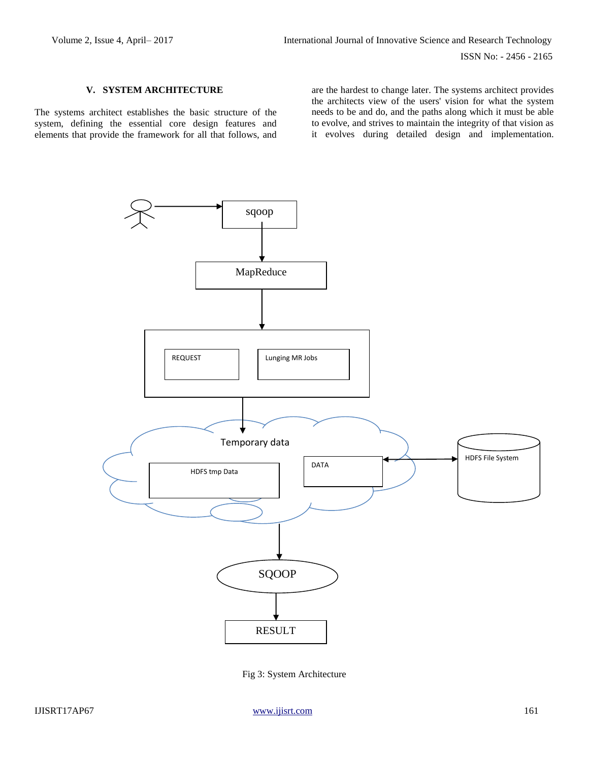# **V. SYSTEM ARCHITECTURE**

The systems architect establishes the basic structure of the system, defining the essential core design features and elements that provide the framework for all that follows, and

are the hardest to change later. The systems architect provides the architects view of the users' vision for what the system needs to be and do, and the paths along which it must be able to evolve, and strives to maintain the integrity of that vision as it evolves during detailed design and implementation.



Fig 3: System Architecture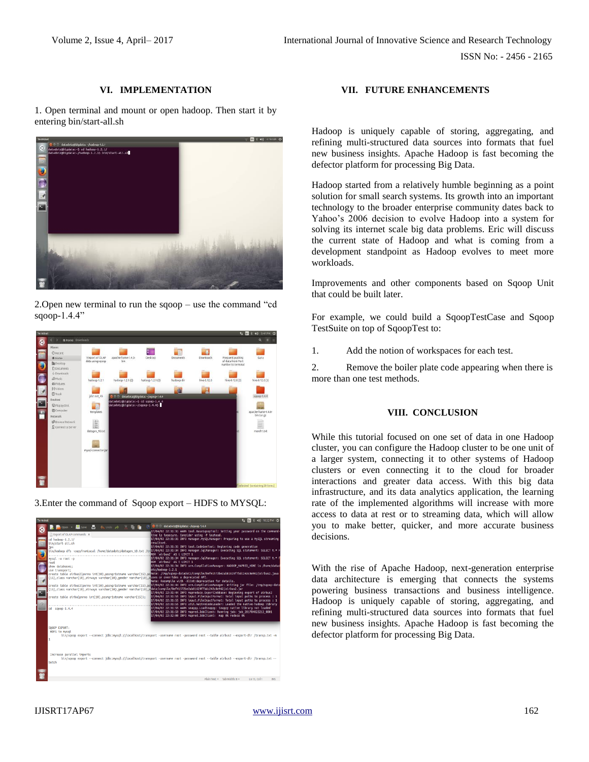# **VI. IMPLEMENTATION**

1. Open terminal and mount or open hadoop. Then start it by entering bin/start-all.sh



2.Open new terminal to run the sqoop – use the command "cd sqoop-1.4.4"







# **VII. FUTURE ENHANCEMENTS**

Hadoop is uniquely capable of storing, aggregating, and refining multi-structured data sources into formats that fuel new business insights. Apache Hadoop is fast becoming the defector platform for processing Big Data.

Hadoop started from a relatively humble beginning as a point solution for small search systems. Its growth into an important technology to the broader enterprise community dates back to Yahoo's 2006 decision to evolve Hadoop into a system for solving its internet scale big data problems. Eric will discuss the current state of Hadoop and what is coming from a development standpoint as Hadoop evolves to meet more workloads.

Improvements and other components based on Sqoop Unit that could be built later.

For example, we could build a SqoopTestCase and Sqoop TestSuite on top of SqoopTest to:

1. Add the notion of workspaces for each test.

2. Remove the boiler plate code appearing when there is more than one test methods.

# **VIII. CONCLUSION**

While this tutorial focused on one set of data in one Hadoop cluster, you can configure the Hadoop cluster to be one unit of a larger system, connecting it to other systems of Hadoop clusters or even connecting it to the cloud for broader interactions and greater data access. With this big data infrastructure, and its data analytics application, the learning rate of the implemented algorithms will increase with more access to data at rest or to streaming data, which will allow you to make better, quicker, and more accurate business decisions.

With the rise of Apache Hadoop, next-generation enterprise data architecture is emerging that connects the systems powering business transactions and business intelligence. Hadoop is uniquely capable of storing, aggregating, and refining multi-structured data sources into formats that fuel new business insights. Apache Hadoop is fast becoming the defector platform for processing Big Data.